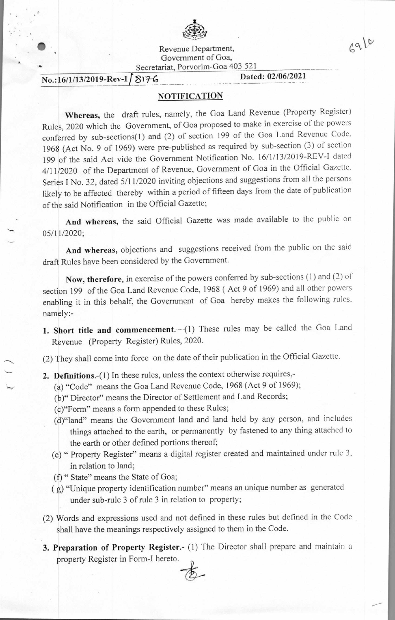

Revenue Department, Government of Goa, Secretariat, Porvorim-Goa 403 521

## **No.:16/1/13/2019-Rev-If 817-6 Dated: 02/06/2021**

•

 $6910$ 

## **NOTIFICATION**

**Whereas,** the draft rules, namely, the Goa Land Revenue (Property Register) Rules, 2020 which the Government, of Goa proposed to make in exercise of the powers conferred by sub-sections(1) and (2) of section 199 of the Goa Land Revenue Code. 1968 (Act No. 9 of 1969) were pre-published as required by sub-section (3) of section 199 of the said Act vide the Government Notification No. 16/1/13/2019-REV-I dated 4/11/2020 of the Department of Revenue, Government of Goa in the Official Gazette. Series I No. 32, dated 5/11/2020 inviting objections and suggestions from all the persons likely to be affected thereby within a period of fifteen days from the date of publication of the said Notification in the Official Gazette;

**And whereas,** the said Official Gazette was made available to the public on 05/11/2020;

**And whereas,** objections and suggestions received from the public on the said draft Rules have been considered by the Government.

**Now, therefore,** in exercise of the powers conferred by sub-sections (1) and (2) of section 199 of the Goa Land Revenue Code, 1968 ( Act 9 of 1969) and all other powers enabling it in this behalf, the Government of Goa hereby makes the following rules, namely:-

1. Short title and commencement.--(1) These rules may be called the Goa Land Revenue (Property Register) Rules, 2020.

(2) They shall come into force on the date of their publication in the Official Gazette.

- **2. Definitions.-(1)** In these rules, unless the context otherwise requires,-
	- (a) "Code" means the Goa Land Revenue Code, 1968 (Act 9 of 1969);
	- (b)" Director" means the Director of Settlement and Land Records;
	- (c)"Form" means a form appended to these Rules;
	- (d)"land" means the Government land and land held by any person, and includes things attached to the earth, or permanently by fastened to any thing attached to the earth or other defined portions thereof;
	- (e) " Property Register" means a digital register created and maintained under rule 3, in relation to land;
	- (f) " State" means the State of Goa;
	- ( g) "Unique property identification number" means an unique number as generated under sub-rule 3 of rule 3 in relation to property;
- (2) Words and expressions used and not defined in these rules but defined in the Code shall have the meanings respectively assigned to them in the Code.
- **3. Preparation of Property Register.-** (I) The Director shall prepare and maintain a property Register in Form-I hereto.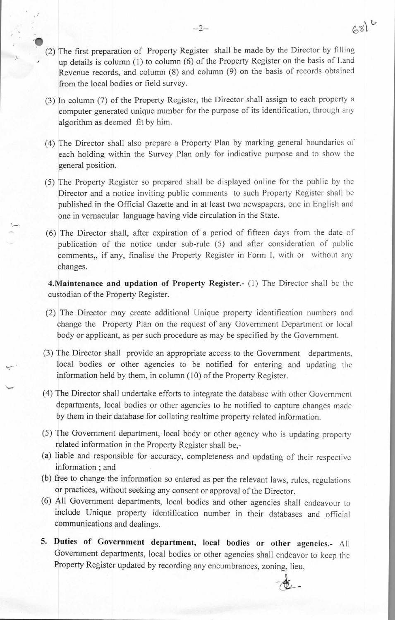- $\ddot{\bullet}$ (2) The first preparation of Property Register shall be made by the Director by **filling**  • up details is column (1) to column (6) of the Property Register on the basis of Land Revenue records, and column (8) and column (9) on the basis of records obtained from the local bodies or field survey.
	- (3) In column (7) of the Property Register, the Director shall assign to each property a computer generated unique number for the purpose of its identification, through any algorithm as deemed fit by him.
	- (4) The Director shall also prepare a Property Plan by marking general boundaries of each holding within the Survey Plan only for indicative purpose and to show the general position.
	- (5) The Property Register so prepared shall be displayed online for the public by the Director and a notice inviting public comments to such Property Register shall be published in the Official Gazette and in at least two newspapers, one in English and one in vernacular language having vide circulation in the State.
	- (6) The Director shall, after expiration of a period of fifteen days from the date of publication of the notice under sub-rule (5) and after consideration of public comments,, if any, finalise the Property Register in Form I, with or without any changes.

**4. Maintenance and updation of Property Register.**- (1) The Director shall be the custodian of the Property Register.

- (2) The Director may create additional Unique property identification numbers and change the Property Plan on the request of any Government Department or local body or applicant, as per such procedure as may be specified by the Government.
- (3) The Director shall provide an appropriate access to the Government departments, local bodies or other agencies to be notified for entering and updating the information held by them, in column (10) of the Property Register.
- (4) The Director shall undertake efforts to integrate the database with other Government departments, local bodies or other agencies to be notified to capture changes made by them in their database for collating realtime property related information.
- (5) The Government department, local body or other agency who is updating property related information in the Property Register shall be,-
- (a) liable and responsible for accuracy, completeness and updating of their respective information ; and
- (b) free to change the information so entered as per the relevant laws, rules, regulations or practices, without seeking any consent or approval of the Director.
- (6) All Government departments, local bodies and other agencies shall endeavour to include Unique property identification number in their databases and official communications and dealings.
- **5. Duties of Government department, local bodies or other agencies.-** All Government departments, local bodies or other agencies shall endeavor to keep the Property Register updated by recording any encumbrances, zoning, lieu,

 $681$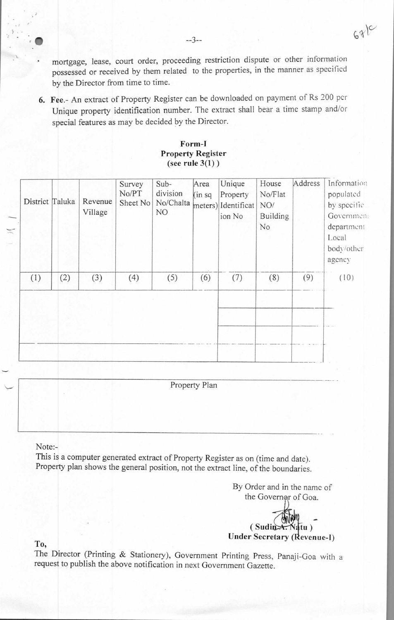mortgage, lease, court order, proceeding restriction dispute or other information possessed or received by them related to the properties, in the manner as specified by the Director from time to time.

6. Fee.- An extract of Property Register can be downloaded on payment of Rs 200 per Unique property identification number. The extract shall bear a time stamp and/or special features as may be decided by the Director.

## **Form-I Property Register (see rule 3(1) )**

| District Taluka |     | Revenue<br>Village | Survey<br>No/PT<br>Sheet No | Sub-<br>division<br>No/Chalta<br>NO. | Area<br>(in sq) | Unique<br>Property<br>meters) Identificat<br>ion No | House<br>No/Flat<br>NO/<br>Building<br>No | Address | Information<br>populated<br>by specific<br>Governmen:<br>department<br>Local<br>body/other<br>agency |
|-----------------|-----|--------------------|-----------------------------|--------------------------------------|-----------------|-----------------------------------------------------|-------------------------------------------|---------|------------------------------------------------------------------------------------------------------|
| (1)             | (2) | (3)                | (4)                         | (5)                                  | (6)             | (7)                                                 | (8)                                       | (9)     | (10)                                                                                                 |
|                 |     |                    |                             |                                      |                 |                                                     |                                           |         |                                                                                                      |
|                 |     |                    |                             |                                      |                 |                                                     |                                           |         |                                                                                                      |
|                 |     |                    |                             |                                      |                 |                                                     |                                           |         |                                                                                                      |

Property Plan

Note:-

This is a computer generated extract of Property Register as on (time and date). Property plan shows the general position, not the extract line, of the boundaries.

> By Order and in the name of the Governer of Goa.

(Sudin **Under Secretary (Revenue-I)** 

**To,** 

The Director (Printing & Stationery), Government Printing Press, Panaji-Goa with a request to publish the above notification in next Government Gazette.